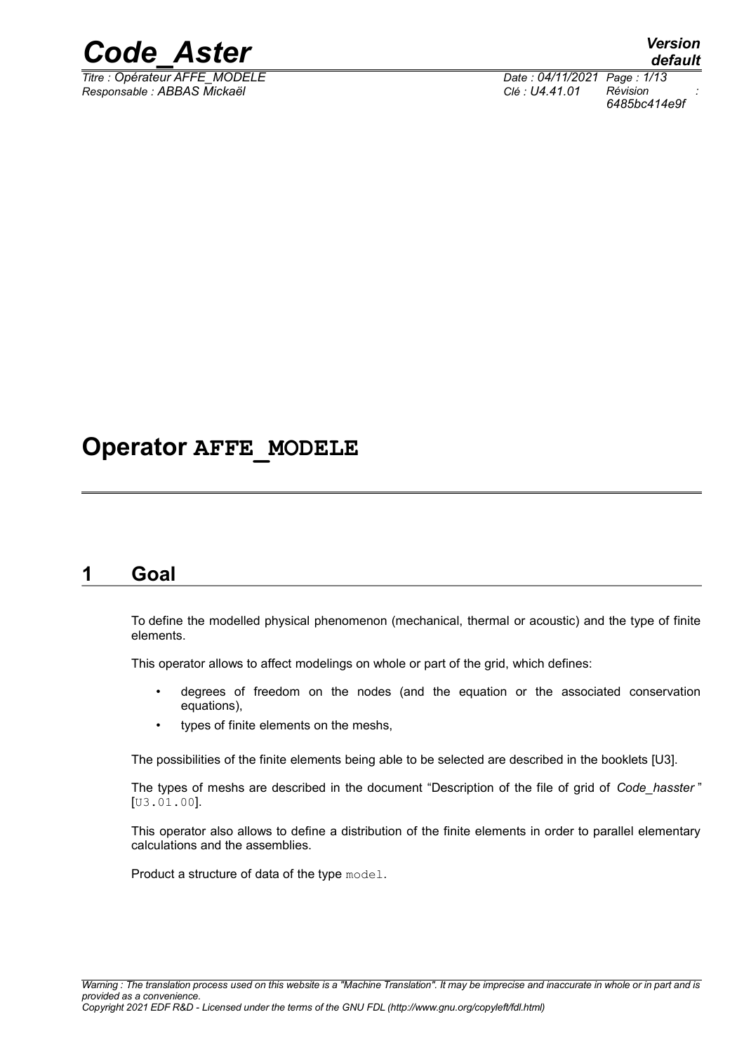

*Titre : Opérateur AFFE\_MODELE Date : 04/11/2021 Page : 1/13 Responsable : ABBAS Mickaël Clé : U4.41.01 Révision :*

*default 6485bc414e9f*

## **Operator AFFE\_MODELE**

## **1 Goal**

To define the modelled physical phenomenon (mechanical, thermal or acoustic) and the type of finite elements.

This operator allows to affect modelings on whole or part of the grid, which defines:

- degrees of freedom on the nodes (and the equation or the associated conservation equations),
- types of finite elements on the meshs,

The possibilities of the finite elements being able to be selected are described in the booklets [U3].

The types of meshs are described in the document "Description of the file of grid of *Code\_hasster* " [U3.01.00].

This operator also allows to define a distribution of the finite elements in order to parallel elementary calculations and the assemblies.

Product a structure of data of the type model.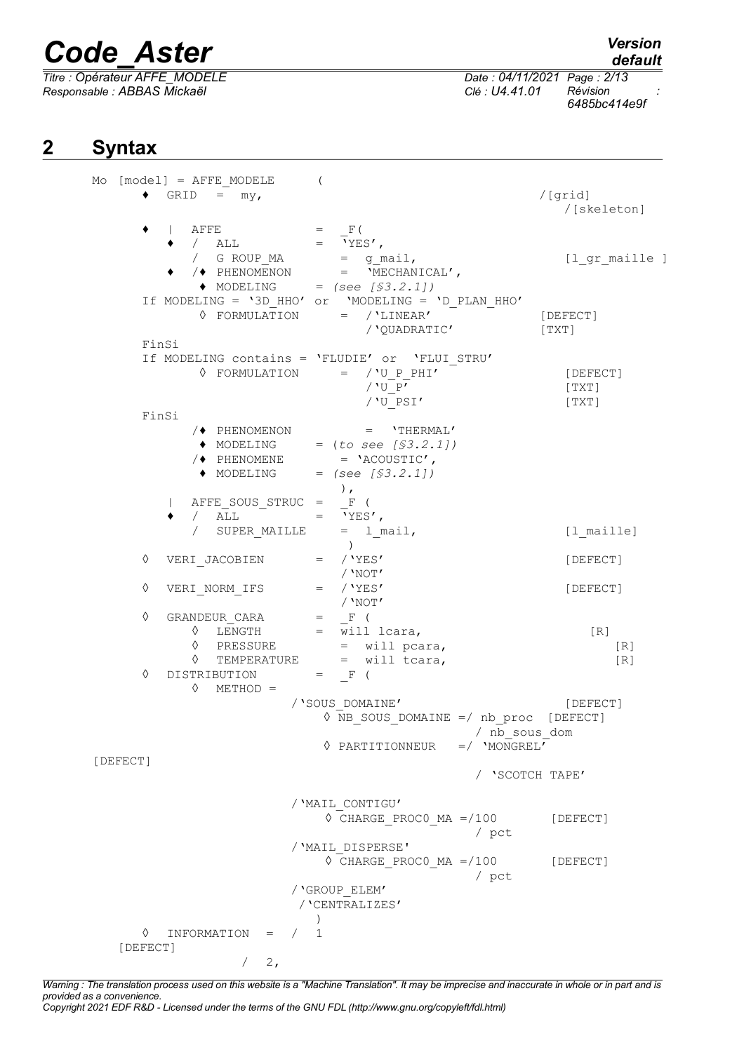*Titre : Opérateur AFFE\_MODELE Date : 04/11/2021 Page : 2/13 Responsable : ABBAS Mickaël Clé : U4.41.01 Révision :*

## *default*

*6485bc414e9f*

## **2 Syntax**

|          |          | Mo [model] = AFFE_MODELE<br>$GRID = my,$                                                                                                                                                                                                                                                                                                                                                                                                       |                                                                                                                                                      | /[grid]<br>/[skeleton]       |
|----------|----------|------------------------------------------------------------------------------------------------------------------------------------------------------------------------------------------------------------------------------------------------------------------------------------------------------------------------------------------------------------------------------------------------------------------------------------------------|------------------------------------------------------------------------------------------------------------------------------------------------------|------------------------------|
|          |          | AFFE                                                                                                                                                                                                                                                                                                                                                                                                                                           |                                                                                                                                                      |                              |
|          |          | $\begin{array}{cccc}\n\mid & \text{AFFE} & = & -\frac{\text{F}}{\text{VES}^{\prime}}\\ \end{array}\qquad \begin{array}{cccc}\n\mid & \text{A} & \text{E} & \text{E} & \text{E} & \text{E} & \text{E} & \text{E} & \text{E} & \text{E} & \text{E} & \text{E} & \text{E} & \text{E} & \text{E} & \text{E} & \text{E} & \text{E} & \text{E} & \text{E} & \text{E} & \text{E} & \text{E} & \text{E} & \text{E} & \text{E} & \text{E} & \text{E} &$ | / G ROUP_MA = $g_mail$ ,<br>/• PHENOMENON = 'MECHANICAL',<br>$\bullet \quad \text{MODELING} \qquad = \quad (see \quad \text{[S3.2.1]})$              | [l gr maille ]               |
|          |          |                                                                                                                                                                                                                                                                                                                                                                                                                                                | If MODELING = '3D_HHO' or 'MODELING = 'D_PLAN_HHO'<br>$\Diamond$ FORMULATION = /'LINEAR'<br>/ 'QUADRATIC'                                            | [DEFECT]<br>[TXT]            |
|          | FinSi    |                                                                                                                                                                                                                                                                                                                                                                                                                                                |                                                                                                                                                      |                              |
|          |          | $\Diamond$ FORMULATION                                                                                                                                                                                                                                                                                                                                                                                                                         | If MODELING contains = 'FLUDIE' or 'FLUI STRU'<br>= $/ U_P$ PHI'<br>$/ U_P'$<br>/'U PSI'                                                             | [DEFECT]<br>[ TXT ]<br>[TXT] |
|          | FinSi    |                                                                                                                                                                                                                                                                                                                                                                                                                                                |                                                                                                                                                      |                              |
|          |          | $/$ PHENOMENE                                                                                                                                                                                                                                                                                                                                                                                                                                  | $\sqrt{\bullet}$ PHENOMENON = 'THERMAL'<br>$\bullet$ MODELING = (to see [\$3.2.1])<br>= $'ACOUSTIC'$ ,<br>$\bullet$ MODELING = (see [\$3.2.1])<br>), |                              |
|          |          | $\begin{array}{cccc} \tt{AFFE\_SOUS\_STRUCT} & = & \tt_F' & \tt \\ \mathit{ / } & \tt{ALL} & = & \tt^YYES' \, , \end{array}$                                                                                                                                                                                                                                                                                                                   |                                                                                                                                                      |                              |
|          |          |                                                                                                                                                                                                                                                                                                                                                                                                                                                | SUPER_MAILLE = $l_{main}$ ,                                                                                                                          | [1 maille]                   |
|          |          | $\Diamond$ VERI_JACOBIEN = /'YES'                                                                                                                                                                                                                                                                                                                                                                                                              | / $'NOT'$                                                                                                                                            | [DEFECT]                     |
|          | ♦        | $\mathtt{VERI\_NORM\_IFS} \qquad \quad \  = \quad \  \  \texttt{YES'}$                                                                                                                                                                                                                                                                                                                                                                         |                                                                                                                                                      | [DEFECT]                     |
|          | ♦        | $\Diamond$ PRESSURE                                                                                                                                                                                                                                                                                                                                                                                                                            | GRANDEUR_CARA = $_F$ (<br>$\theta$ LENGTH = will lcara,<br>$=$ will pcara,<br>$\Diamond$ TEMPERATURE = will tcara,                                   | [R]<br>[R]<br>[R]            |
|          | ♦        | DISTRIBUTION<br>♦<br>$METHOD =$                                                                                                                                                                                                                                                                                                                                                                                                                | $=$ F (                                                                                                                                              |                              |
|          |          |                                                                                                                                                                                                                                                                                                                                                                                                                                                | /'SOUS DOMAINE'<br>$\Diamond$ NB SOUS DOMAINE =/ nb proc [DEFECT]<br>/ nb sous dom<br>$\Diamond$ PARTITIONNEUR =/ 'MONGREL'                          | $[$ $DEFECT$ $]$             |
| [DEFECT] |          |                                                                                                                                                                                                                                                                                                                                                                                                                                                |                                                                                                                                                      | / 'SCOTCH TAPE'              |
|          |          |                                                                                                                                                                                                                                                                                                                                                                                                                                                |                                                                                                                                                      |                              |
|          |          |                                                                                                                                                                                                                                                                                                                                                                                                                                                | / 'MAIL CONTIGU'<br>$\Diamond$ CHARGE PROCO MA = /100 [DEFECT]<br>/ pct                                                                              |                              |
|          |          |                                                                                                                                                                                                                                                                                                                                                                                                                                                | / 'MAIL DISPERSE'<br>$\Diamond$ CHARGE PROCO_MA =/100 [DEFECT]<br>/ pct                                                                              |                              |
|          |          |                                                                                                                                                                                                                                                                                                                                                                                                                                                | / 'GROUP_ELEM'<br>/ 'CENTRALIZES'                                                                                                                    |                              |
|          | [DEFECT] | $\Diamond$ INFORMATION =                                                                                                                                                                                                                                                                                                                                                                                                                       | 1                                                                                                                                                    |                              |
|          |          | 2,                                                                                                                                                                                                                                                                                                                                                                                                                                             |                                                                                                                                                      |                              |

*Warning : The translation process used on this website is a "Machine Translation". It may be imprecise and inaccurate in whole or in part and is provided as a convenience. Copyright 2021 EDF R&D - Licensed under the terms of the GNU FDL (http://www.gnu.org/copyleft/fdl.html)*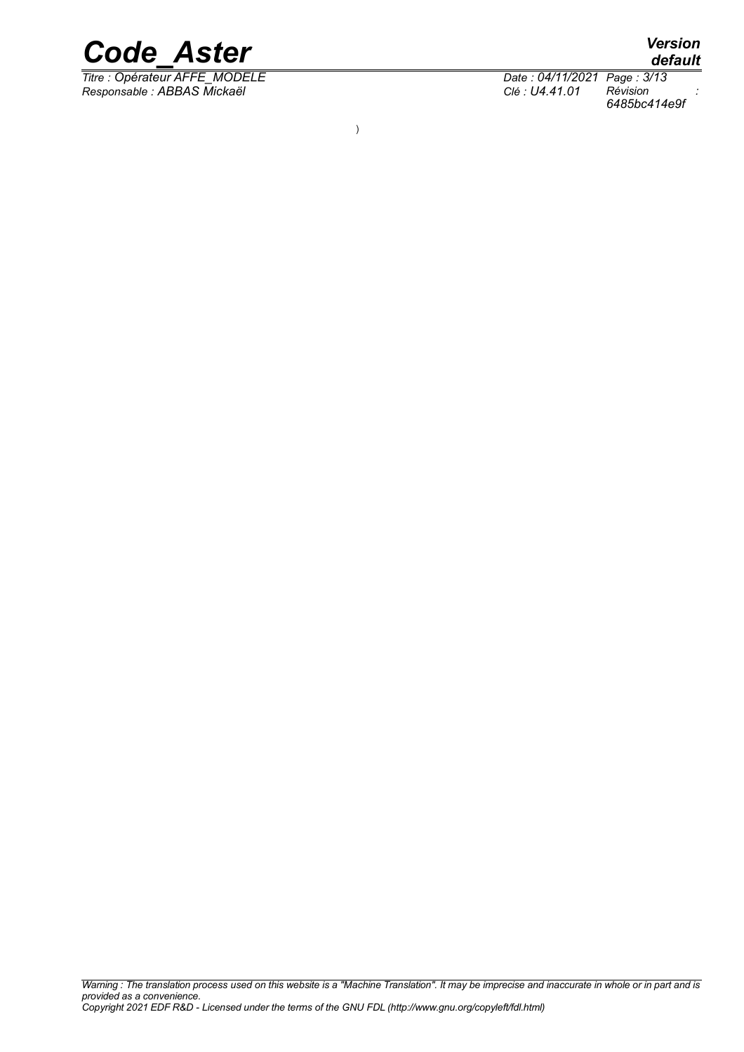

*Titre : Opérateur AFFE\_MODELE Date : 04/11/2021 Page : 3/13*

*Responsable : ABBAS Mickaël Clé : U4.41.01 Révision : 6485bc414e9f*

)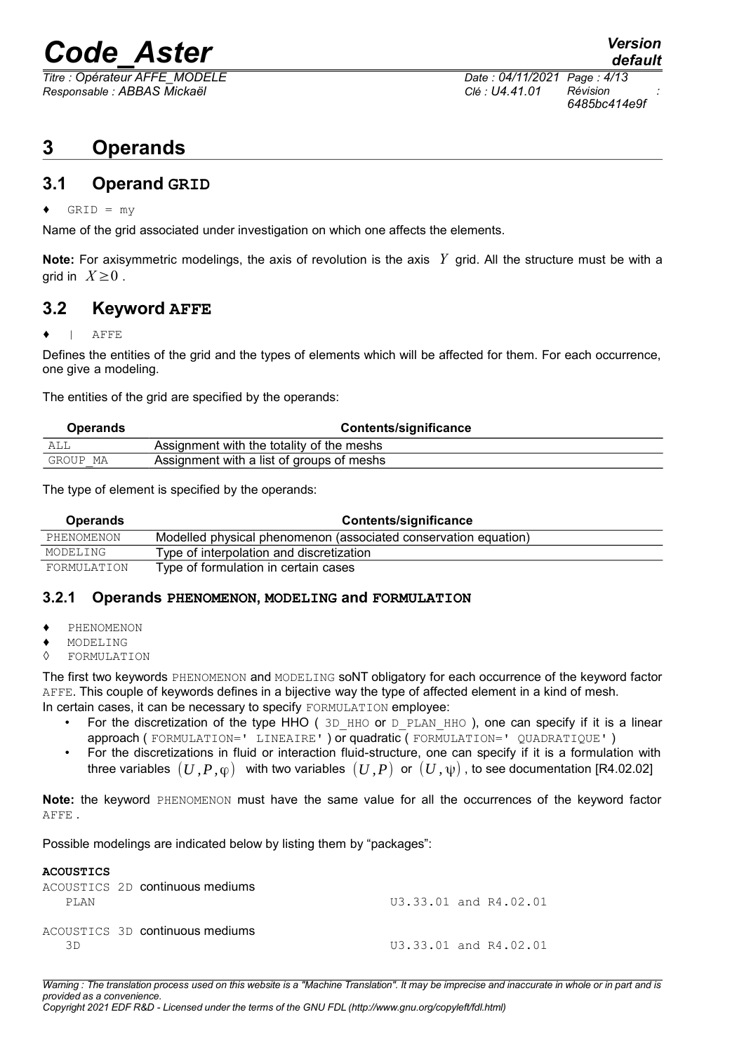*Responsable : ABBAS Mickaël Clé : U4.41.01 Révision :*

*Titre : Opérateur AFFE\_MODELE Date : 04/11/2021 Page : 4/13 6485bc414e9f*

## **3 Operands**

### **3.1 Operand GRID**

#### $GRID = my$

Name of the grid associated under investigation on which one affects the elements.

**Note:** For axisymmetric modelings, the axis of revolution is the axis *Y* grid. All the structure must be with a grid in  $X \geq 0$ .

### <span id="page-3-1"></span>**3.2 Keyword AFFE**

#### $|$   $\Delta$ FFF

Defines the entities of the grid and the types of elements which will be affected for them. For each occurrence, one give a modeling.

The entities of the grid are specified by the operands:

| Operands | <b>Contents/significance</b>              |
|----------|-------------------------------------------|
| ALL      | Assignment with the totality of the meshs |
| GROUP MA | Assignment with a list of groups of meshs |

The type of element is specified by the operands:

| <b>Operands</b> | Contents/significance                                           |
|-----------------|-----------------------------------------------------------------|
| PHENOMENON      | Modelled physical phenomenon (associated conservation equation) |
| MODELING        | Type of interpolation and discretization                        |
| FORMULATION     | Type of formulation in certain cases                            |

#### <span id="page-3-0"></span>**3.2.1 Operands PHENOMENON, MODELING and FORMULATION**

- PHENOMENON
- ♦ MODELING
- ◊ FORMULATION

The first two keywords PHENOMENON and MODELING soNT obligatory for each occurrence of the keyword factor AFFE. This couple of keywords defines in a bijective way the type of affected element in a kind of mesh. In certain cases, it can be necessary to specify FORMULATION employee:

- For the discretization of the type HHO (3D\_HHO or D\_PLAN\_HHO), one can specify if it is a linear approach ( FORMULATION=' LINEAIRE' ) or quadratic ( FORMULATION=' QUADRATIQUE' )
- For the discretizations in fluid or interaction fluid-structure, one can specify if it is a formulation with three variables  $(U, P, \varphi)$  with two variables  $(U, P)$  or  $(U, \psi)$ , to see documentation [R4.02.02]

**Note:** the keyword PHENOMENON must have the same value for all the occurrences of the keyword factor AFFE .

Possible modelings are indicated below by listing them by "packages":

## **ACOUSTICS** ACOUSTICS 2D continuous mediums PLAN U3.33.01 and R4.02.01 ACOUSTICS 3D continuous mediums 3D U3.33.01 and R4.02.01

*Warning : The translation process used on this website is a "Machine Translation". It may be imprecise and inaccurate in whole or in part and is provided as a convenience. Copyright 2021 EDF R&D - Licensed under the terms of the GNU FDL (http://www.gnu.org/copyleft/fdl.html)*

*default*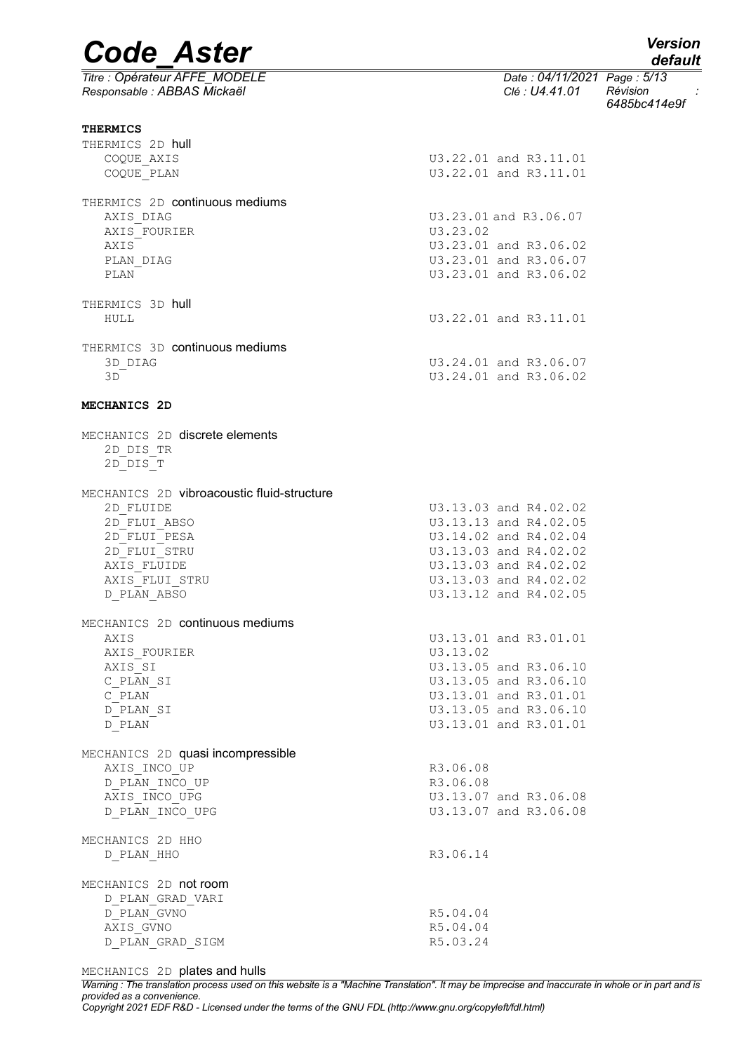| Titre : Opérateur AFFE_MODELE                   | Date: 04/11/2021 Page: 5/13                |  |
|-------------------------------------------------|--------------------------------------------|--|
| Responsable : ABBAS Mickaël                     | Révision<br>Clé : U4.41.01<br>6485bc414e9f |  |
| <b>THERMICS</b>                                 |                                            |  |
| THERMICS 2D hull                                |                                            |  |
| COQUE AXIS                                      | U3.22.01 and R3.11.01                      |  |
| COQUE PLAN                                      | U3.22.01 and R3.11.01                      |  |
| THERMICS 2D continuous mediums                  |                                            |  |
| AXIS DIAG                                       | U3.23.01 and R3.06.07                      |  |
| AXIS FOURIER                                    | U3.23.02                                   |  |
| AXIS                                            | U3.23.01 and R3.06.02                      |  |
| PLAN DIAG                                       | U3.23.01 and R3.06.07                      |  |
| PLAN                                            | U3.23.01 and R3.06.02                      |  |
| THERMICS 3D hull                                |                                            |  |
| HULL                                            | U3.22.01 and R3.11.01                      |  |
| THERMICS 3D continuous mediums                  |                                            |  |
| 3D DIAG                                         | U3.24.01 and R3.06.07                      |  |
| 3D                                              | U3.24.01 and R3.06.02                      |  |
| <b>MECHANICS 2D</b>                             |                                            |  |
| MECHANICS 2D discrete elements                  |                                            |  |
| 2D DIS TR                                       |                                            |  |
| 2D DIS T                                        |                                            |  |
| MECHANICS 2D vibroacoustic fluid-structure      |                                            |  |
| 2D FLUIDE                                       | U3.13.03 and R4.02.02                      |  |
| 2D FLUI ABSO                                    | U3.13.13 and R4.02.05                      |  |
| 2D FLUI PESA                                    | U3.14.02 and R4.02.04                      |  |
| 2D FLUI STRU                                    | U3.13.03 and R4.02.02                      |  |
| AXIS FLUIDE                                     | U3.13.03 and R4.02.02                      |  |
| AXIS FLUI STRU                                  | U3.13.03 and R4.02.02                      |  |
| D PLAN ABSO                                     | U3.13.12 and R4.02.05                      |  |
| MECHANICS 2D <b>continuous mediums</b>          |                                            |  |
| AXIS                                            | U3.13.01 and R3.01.01                      |  |
| AXIS FOURIER                                    | U3.13.02                                   |  |
| AXIS SI                                         | U3.13.05 and R3.06.10                      |  |
| C PLAN SI                                       | U3.13.05 and R3.06.10                      |  |
| C PLAN                                          | U3.13.01 and R3.01.01                      |  |
| D PLAN SI                                       | U3.13.05 and R3.06.10                      |  |
| D PLAN                                          | U3.13.01 and R3.01.01                      |  |
| MECHANICS 2D quasi incompressible               |                                            |  |
| AXIS INCO UP                                    | R3.06.08                                   |  |
| D PLAN INCO UP                                  | R3.06.08                                   |  |
| AXIS INCO UPG                                   | U3.13.07 and R3.06.08                      |  |
| D PLAN INCO UPG                                 | U3.13.07 and R3.06.08                      |  |
| MECHANICS 2D HHO                                |                                            |  |
| D PLAN HHO                                      | R3.06.14                                   |  |
| MECHANICS 2D <b>notroom</b><br>D PLAN GRAD VARI |                                            |  |
|                                                 | R5.04.04                                   |  |
| D PLAN GVNO                                     |                                            |  |
| AXIS GVNO                                       | R5.04.04                                   |  |
| D PLAN GRAD SIGM                                | R5.03.24                                   |  |

MECHANICS 2D plates and hulls

*Warning : The translation process used on this website is a "Machine Translation". It may be imprecise and inaccurate in whole or in part and is provided as a convenience.*

*Copyright 2021 EDF R&D - Licensed under the terms of the GNU FDL (http://www.gnu.org/copyleft/fdl.html)*

*default*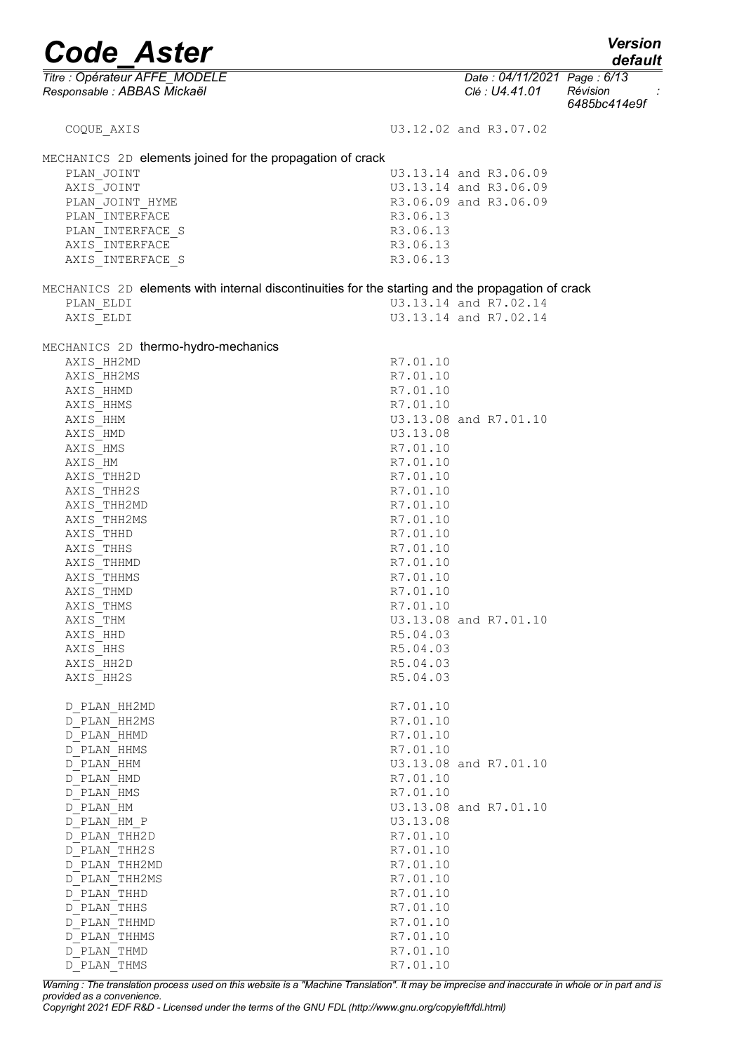انسی<br>default<br>73

| - - - -<br>717171                                                                                              |          |                                               | aeraun                   |
|----------------------------------------------------------------------------------------------------------------|----------|-----------------------------------------------|--------------------------|
| Titre : Opérateur AFFE_MODELE<br>Responsable : ABBAS Mickaël                                                   |          | Date: 04/11/2021 Page: 6/13<br>Clé : U4.41.01 | Révision<br>6485bc414e9f |
| COQUE AXIS                                                                                                     |          | U3.12.02 and R3.07.02                         |                          |
| MECHANICS 2D elements joined for the propagation of crack                                                      |          |                                               |                          |
| PLAN JOINT                                                                                                     |          | U3.13.14 and R3.06.09                         |                          |
| AXIS JOINT                                                                                                     |          | U3.13.14 and R3.06.09                         |                          |
| PLAN JOINT HYME                                                                                                |          | R3.06.09 and R3.06.09                         |                          |
| PLAN INTERFACE                                                                                                 | R3.06.13 |                                               |                          |
| PLAN INTERFACE S                                                                                               | R3.06.13 |                                               |                          |
| AXIS INTERFACE                                                                                                 | R3.06.13 |                                               |                          |
| AXIS INTERFACE S                                                                                               | R3.06.13 |                                               |                          |
| MECHANICS 2D elements with internal discontinuities for the starting and the propagation of crack<br>PLAN ELDI |          | U3.13.14 and R7.02.14                         |                          |
| AXIS ELDI                                                                                                      |          | U3.13.14 and R7.02.14                         |                          |
| MECHANICS 2D thermo-hydro-mechanics                                                                            |          |                                               |                          |
| AXIS HH2MD                                                                                                     | R7.01.10 |                                               |                          |
| AXIS HH2MS                                                                                                     | R7.01.10 |                                               |                          |
| AXIS HHMD                                                                                                      | R7.01.10 |                                               |                          |
| AXIS HHMS                                                                                                      | R7.01.10 |                                               |                          |
| AXIS HHM                                                                                                       |          | U3.13.08 and R7.01.10                         |                          |
| AXIS HMD                                                                                                       | U3.13.08 |                                               |                          |
| AXIS HMS                                                                                                       | R7.01.10 |                                               |                          |
| AXIS HM                                                                                                        | R7.01.10 |                                               |                          |
| AXIS THH2D                                                                                                     | R7.01.10 |                                               |                          |
| AXIS THH2S                                                                                                     | R7.01.10 |                                               |                          |
| AXIS THH2MD                                                                                                    | R7.01.10 |                                               |                          |
| AXIS THH2MS                                                                                                    | R7.01.10 |                                               |                          |
| AXIS THHD                                                                                                      | R7.01.10 |                                               |                          |
| AXIS THHS                                                                                                      | R7.01.10 |                                               |                          |
| AXIS THHMD                                                                                                     | R7.01.10 |                                               |                          |
| AXIS THHMS                                                                                                     | R7.01.10 |                                               |                          |
| AXIS THMD                                                                                                      | R7.01.10 |                                               |                          |
| AXIS THMS                                                                                                      | R7.01.10 |                                               |                          |
| AXIS THM                                                                                                       |          | U3.13.08 and R7.01.10                         |                          |
| AXIS HHD                                                                                                       | R5.04.03 |                                               |                          |
| AXIS HHS                                                                                                       | R5.04.03 |                                               |                          |
| AXIS HH2D                                                                                                      | R5.04.03 |                                               |                          |
| AXIS HH2S                                                                                                      | R5.04.03 |                                               |                          |
| D PLAN HH2MD                                                                                                   | R7.01.10 |                                               |                          |
| D PLAN HH2MS                                                                                                   | R7.01.10 |                                               |                          |
| D PLAN HHMD                                                                                                    | R7.01.10 |                                               |                          |
| D PLAN HHMS                                                                                                    | R7.01.10 |                                               |                          |
| D PLAN HHM                                                                                                     |          | U3.13.08 and R7.01.10                         |                          |
| D PLAN HMD                                                                                                     | R7.01.10 |                                               |                          |
| D PLAN HMS                                                                                                     | R7.01.10 |                                               |                          |
| D PLAN HM                                                                                                      |          | U3.13.08 and R7.01.10                         |                          |
| D PLAN HM P                                                                                                    | U3.13.08 |                                               |                          |
| D PLAN THH2D                                                                                                   | R7.01.10 |                                               |                          |
| D PLAN THH2S                                                                                                   | R7.01.10 |                                               |                          |
| D PLAN THH2MD                                                                                                  | R7.01.10 |                                               |                          |
| D PLAN THH2MS                                                                                                  | R7.01.10 |                                               |                          |
| D PLAN THHD                                                                                                    | R7.01.10 |                                               |                          |
| D PLAN THHS                                                                                                    | R7.01.10 |                                               |                          |
| D PLAN THHMD                                                                                                   | R7.01.10 |                                               |                          |
| D PLAN THHMS                                                                                                   | R7.01.10 |                                               |                          |
| D PLAN THMD                                                                                                    | R7.01.10 |                                               |                          |
| D PLAN THMS                                                                                                    | R7.01.10 |                                               |                          |

*Warning : The translation process used on this website is a "Machine Translation". It may be imprecise and inaccurate in whole or in part and is provided as a convenience.*

*Copyright 2021 EDF R&D - Licensed under the terms of the GNU FDL (http://www.gnu.org/copyleft/fdl.html)*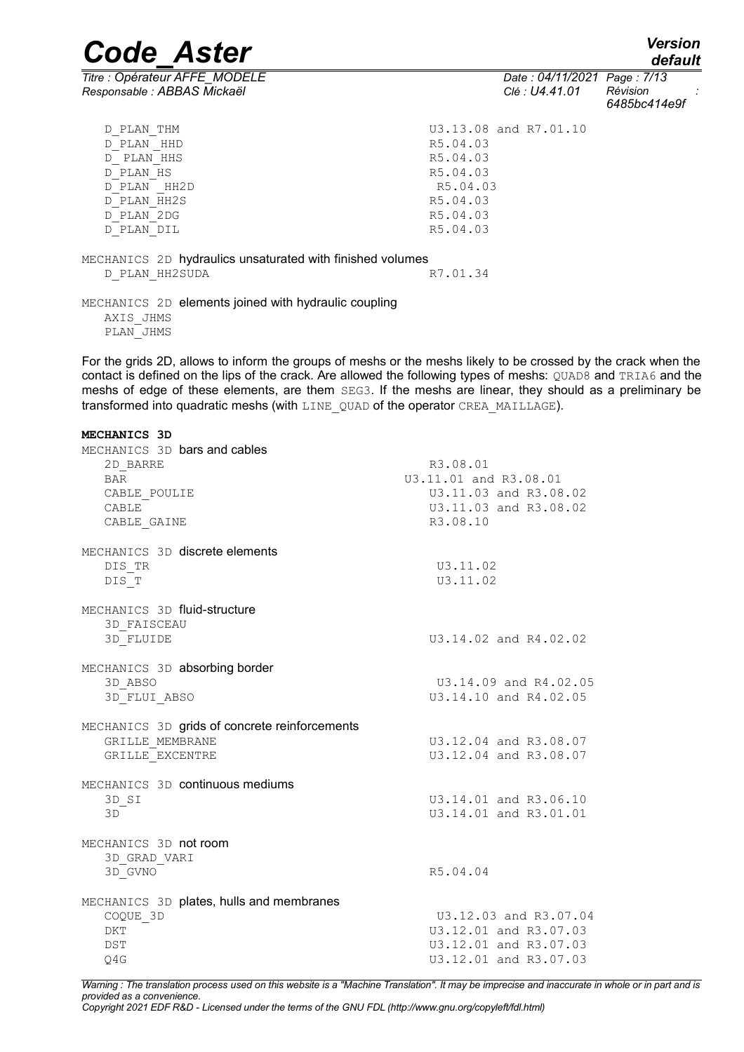*Titre : Opérateur AFFE\_MODELE Date : 04/11/2021 Page : 7/13 Responsable : ABBAS Mickaël Clé : U4.41.01 Révision :*

 $D$ PLAN  $HS$ 

D\_PLAN\_DIL

*default 6485bc414e9f*

D\_PLAN\_THM U3.13.08 and R7.01.10 D\_PLAN HHD R5.04.03 D\_PLAN\_HHS R5.04.03<br>D\_PLAN\_HS R5.04.03  $D$ PLAN HH2D R5.04.03  $D$ <sup>D</sup>PLAN\_HH2S R5.04.03<br>D PLAN 2DG R5.04.03  $D$ <sup>PLAN</sup><sup>2DG</sup> R5.04.03<br>  $D$ PLAN<sup>D</sup>ULAN

MECHANICS 2D hydraulics unsaturated with finished volumes D\_PLAN\_HH2SUDA R7.01.34

MECHANICS 2D elements joined with hydraulic coupling AXIS\_JHMS PLAN\_JHMS

For the grids 2D, allows to inform the groups of meshs or the meshs likely to be crossed by the crack when the contact is defined on the lips of the crack. Are allowed the following types of meshs: QUAD8 and TRIA6 and the meshs of edge of these elements, are them SEG3. If the meshs are linear, they should as a preliminary be transformed into quadratic meshs (with LINE QUAD of the operator CREA\_MAILLAGE).

*Code\_Aster Version*

| MECHANICS 3D                                  |                       |
|-----------------------------------------------|-----------------------|
| MECHANICS 3D bars and cables                  |                       |
| 2D BARRE                                      | R3.08.01              |
| <b>BAR</b>                                    | U3.11.01 and R3.08.01 |
| CABLE POULIE                                  | U3.11.03 and R3.08.02 |
| CABLE                                         | U3.11.03 and R3.08.02 |
| CABLE GAINE                                   | R3.08.10              |
|                                               |                       |
| MECHANICS 3D discrete elements                |                       |
| DIS TR                                        | U3.11.02              |
| DIS T                                         | U3.11.02              |
|                                               |                       |
| MECHANICS 3D fluid-structure                  |                       |
| 3D FAISCEAU                                   |                       |
| 3D FLUIDE                                     | U3.14.02 and R4.02.02 |
|                                               |                       |
|                                               |                       |
| MECHANICS 3D absorbing border                 |                       |
| 3D ABSO                                       | U3.14.09 and R4.02.05 |
| 3D FLUI ABSO                                  | U3.14.10 and R4.02.05 |
|                                               |                       |
| MECHANICS 3D grids of concrete reinforcements |                       |
| GRILLE MEMBRANE                               | U3.12.04 and R3.08.07 |
| GRILLE EXCENTRE                               | U3.12.04 and R3.08.07 |
|                                               |                       |
| MECHANICS 3D continuous mediums               |                       |
| 3D SI                                         | U3.14.01 and R3.06.10 |
| 3D                                            | U3.14.01 and R3.01.01 |
|                                               |                       |
| MECHANICS 3D not room                         |                       |
| 3D GRAD VARI                                  |                       |
| 3D GVNO                                       | R5.04.04              |
|                                               |                       |
| MECHANICS 3D plates, hulls and membranes      |                       |
| COQUE 3D                                      | U3.12.03 and R3.07.04 |
| DKT                                           | U3.12.01 and R3.07.03 |
| <b>DST</b>                                    | U3.12.01 and R3.07.03 |
| Q4G                                           | U3.12.01 and R3.07.03 |
|                                               |                       |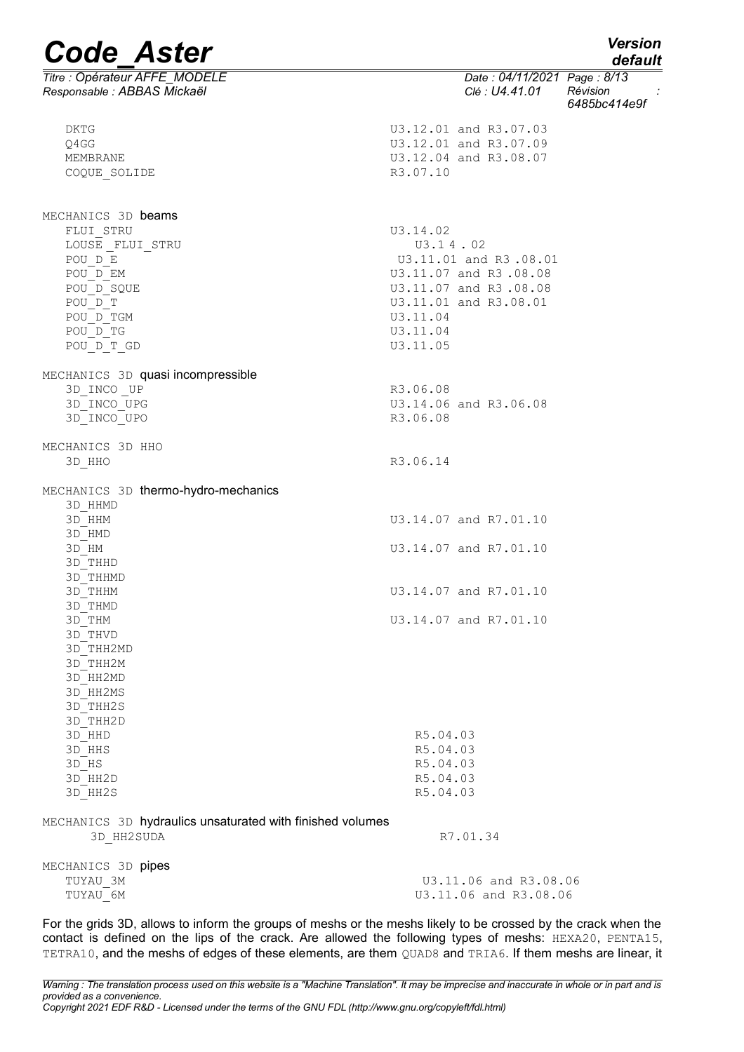*default*

| - - - -<br>717571                                            |                                               | aeraun                   |
|--------------------------------------------------------------|-----------------------------------------------|--------------------------|
| Titre : Opérateur AFFE_MODELE<br>Responsable : ABBAS Mickaël | Date: 04/11/2021 Page: 8/13<br>Clé : U4.41.01 | Révision<br>6485bc414e9f |
| DKTG                                                         | U3.12.01 and R3.07.03                         |                          |
| Q4GG                                                         | U3.12.01 and R3.07.09                         |                          |
| MEMBRANE                                                     | U3.12.04 and R3.08.07                         |                          |
| COQUE SOLIDE                                                 | R3.07.10                                      |                          |
|                                                              |                                               |                          |
| MECHANICS 3D beams                                           |                                               |                          |
| FLUI STRU                                                    | U3.14.02                                      |                          |
| LOUSE FLUI STRU                                              | U3.14.02                                      |                          |
| POU D E                                                      | U3.11.01 and R3.08.01                         |                          |
| POU D EM                                                     | U3.11.07 and R3.08.08                         |                          |
| POU D SQUE                                                   | U3.11.07 and R3.08.08                         |                          |
| POU D T                                                      | U3.11.01 and R3.08.01                         |                          |
| POU D TGM                                                    | U3.11.04                                      |                          |
| POU D TG                                                     | U3.11.04                                      |                          |
| POU D T GD                                                   | U3.11.05                                      |                          |
| MECHANICS 3D quasi incompressible                            |                                               |                          |
| 3D INCO UP                                                   | R3.06.08                                      |                          |
| 3D INCO UPG                                                  | U3.14.06 and R3.06.08                         |                          |
| 3D INCO UPO                                                  | R3.06.08                                      |                          |
|                                                              |                                               |                          |
| MECHANICS 3D HHO                                             |                                               |                          |
| 3D HHO                                                       | R3.06.14                                      |                          |
| MECHANICS 3D thermo-hydro-mechanics                          |                                               |                          |
| 3D HHMD                                                      |                                               |                          |
| 3D HHM                                                       | U3.14.07 and R7.01.10                         |                          |
| 3D HMD                                                       |                                               |                          |
| 3D HM                                                        | U3.14.07 and R7.01.10                         |                          |
| 3D THHD                                                      |                                               |                          |
| 3D THHMD                                                     |                                               |                          |
| 3D THHM                                                      | U3.14.07 and R7.01.10                         |                          |
| 3D THMD                                                      |                                               |                          |
| 3D THM                                                       | U3.14.07 and R7.01.10                         |                          |
| 3D THVD                                                      |                                               |                          |
| 3D THH2MD                                                    |                                               |                          |
| 3D THH2M                                                     |                                               |                          |
| 3D HH2MD                                                     |                                               |                          |
| 3D HH2MS                                                     |                                               |                          |
| 3D THH2S                                                     |                                               |                          |
| 3D THH2D                                                     |                                               |                          |
| 3D HHD                                                       | R5.04.03                                      |                          |
| 3D HHS                                                       | R5.04.03                                      |                          |
| 3D HS                                                        | R5.04.03                                      |                          |
| 3D HH2D                                                      | R5.04.03                                      |                          |
| 3D HH2S                                                      | R5.04.03                                      |                          |
| MECHANICS 3D hydraulics unsaturated with finished volumes    |                                               |                          |
| 3D HH2SUDA                                                   | R7.01.34                                      |                          |
| MECHANICS 3D pipes                                           |                                               |                          |
| TUYAU 3M                                                     | U3.11.06 and R3.08.06                         |                          |
| TUYAU 6M                                                     | U3.11.06 and R3.08.06                         |                          |

For the grids 3D, allows to inform the groups of meshs or the meshs likely to be crossed by the crack when the contact is defined on the lips of the crack. Are allowed the following types of meshs: HEXA20, PENTA15, TETRA10, and the meshs of edges of these elements, are them QUAD8 and TRIA6. If them meshs are linear, it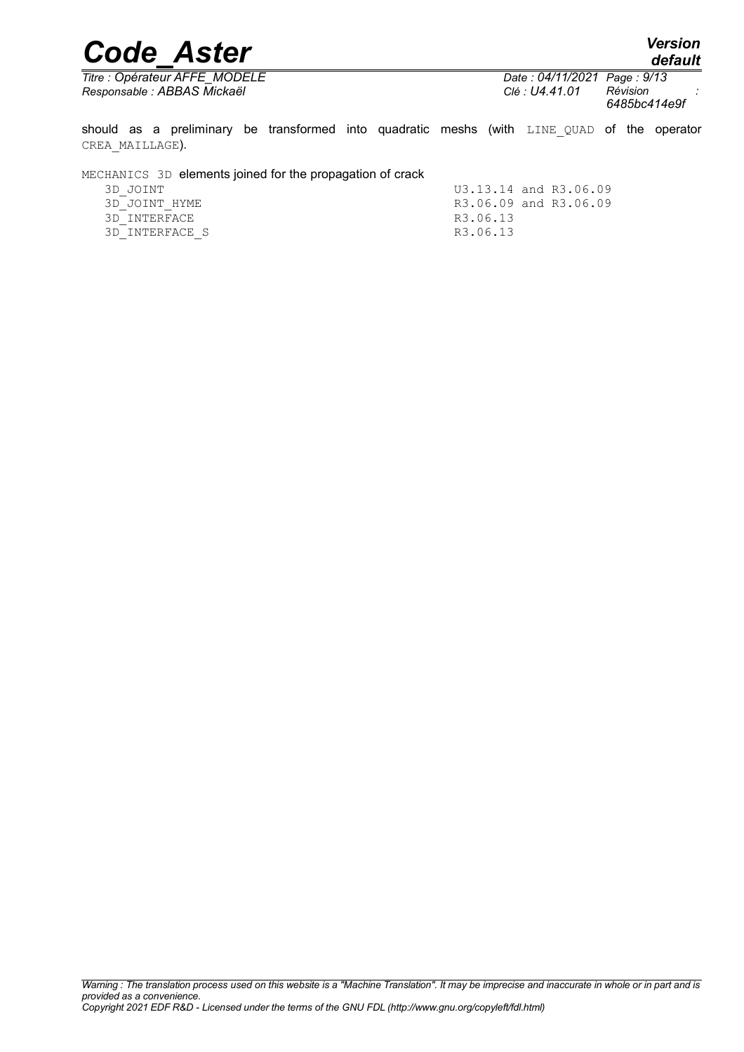*default*

*Code\_Aster Version Titre : Opérateur AFFE\_MODELE Date : 04/11/2021 Page : 9/13*

*Responsable : ABBAS Mickaël Clé : U4.41.01 Révision : 6485bc414e9f*

should as a preliminary be transformed into quadratic meshs (with LINE QUAD of the operator CREA\_MAILLAGE).

| MECHANICS 3D elements joined for the propagation of crack |          |                       |
|-----------------------------------------------------------|----------|-----------------------|
| 3D JOINT                                                  |          | U3.13.14 and R3.06.09 |
| 3D JOINT HYME                                             |          | R3.06.09 and R3.06.09 |
| 3D INTERFACE                                              | R3.06.13 |                       |
| 3D INTERFACE S                                            | R3.06.13 |                       |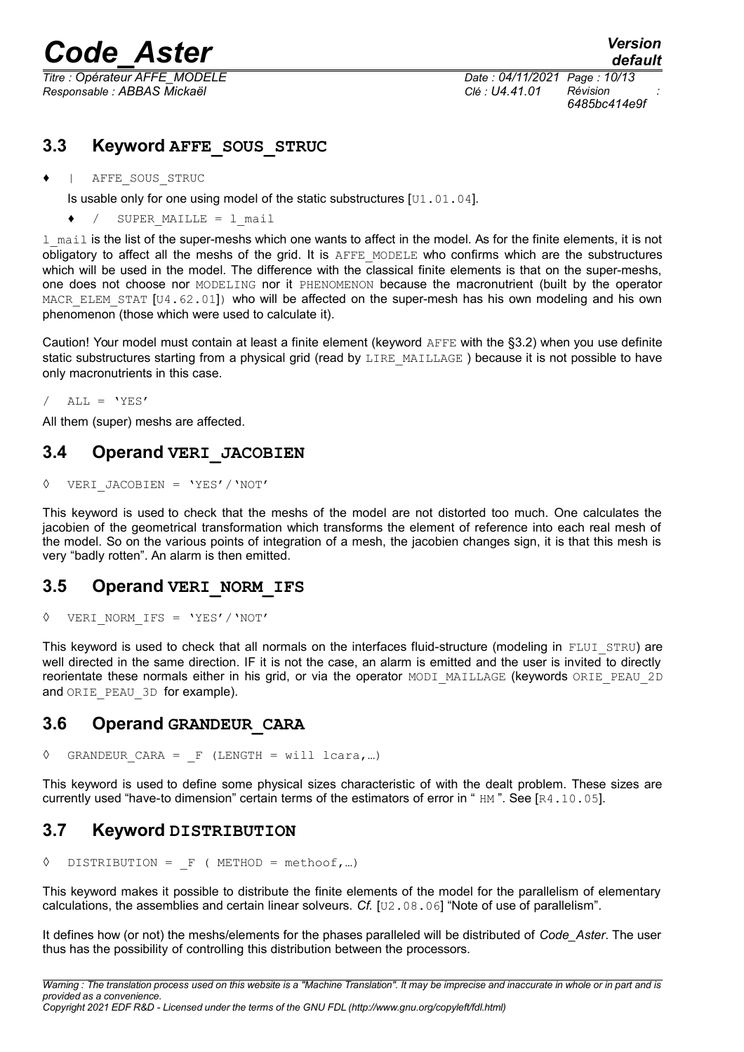*Responsable : ABBAS Mickaël Clé : U4.41.01 Révision :*

### **3.3 Keyword AFFE\_SOUS\_STRUC**

| AFFE\_SOUS\_STRUC

Is usable only for one using model of the static substructures [U1.01.04].

 $\bullet$  / SUPER MAILLE = 1 mail

1 mail is the list of the super-meshs which one wants to affect in the model. As for the finite elements, it is not obligatory to affect all the meshs of the grid. It is AFFE\_MODELE who confirms which are the substructures which will be used in the model. The difference with the classical finite elements is that on the super-meshs, one does not choose nor MODELING nor it PHENOMENON because the macronutrient (built by the operator MACR ELEM STAT [U4.62.01]) who will be affected on the super-mesh has his own modeling and his own phenomenon (those which were used to calculate it).

Caution! Your model must contain at least a finite element (keyword AFFE with the [§3.2\)](#page-3-1) when you use definite static substructures starting from a physical grid (read by LIRE\_MAILLAGE) because it is not possible to have only macronutrients in this case.

 $/$  ALL = 'YES'

All them (super) meshs are affected.

### **3.4 Operand VERI\_JACOBIEN**

◊ VERI\_JACOBIEN = 'YES'/'NOT'

This keyword is used to check that the meshs of the model are not distorted too much. One calculates the jacobien of the geometrical transformation which transforms the element of reference into each real mesh of the model. So on the various points of integration of a mesh, the jacobien changes sign, it is that this mesh is very "badly rotten". An alarm is then emitted.

### **3.5 Operand VERI\_NORM\_IFS**

◊ VERI\_NORM\_IFS = 'YES'/'NOT'

This keyword is used to check that all normals on the interfaces fluid-structure (modeling in FLUI\_STRU) are well directed in the same direction. IF it is not the case, an alarm is emitted and the user is invited to directly reorientate these normals either in his grid, or via the operator MODI\_MAILLAGE (keywords ORIE\_PEAU\_2D and ORIE\_PEAU\_3D for example).

### **3.6 Operand GRANDEUR\_CARA**

 $\Diamond$  GRANDEUR CARA =  $F$  (LENGTH = will lcara, ...)

This keyword is used to define some physical sizes characteristic of with the dealt problem. These sizes are currently used "have-to dimension" certain terms of the estimators of error in " HM ". See [R4.10.05].

## **3.7 Keyword DISTRIBUTION**

 $\lozenge$  DISTRIBUTION = F ( METHOD = methoof,...)

This keyword makes it possible to distribute the finite elements of the model for the parallelism of elementary calculations, the assemblies and certain linear solveurs. *Cf.* [U2.08.06] "Note of use of parallelism".

It defines how (or not) the meshs/elements for the phases paralleled will be distributed of *Code\_Aster*. The user thus has the possibility of controlling this distribution between the processors.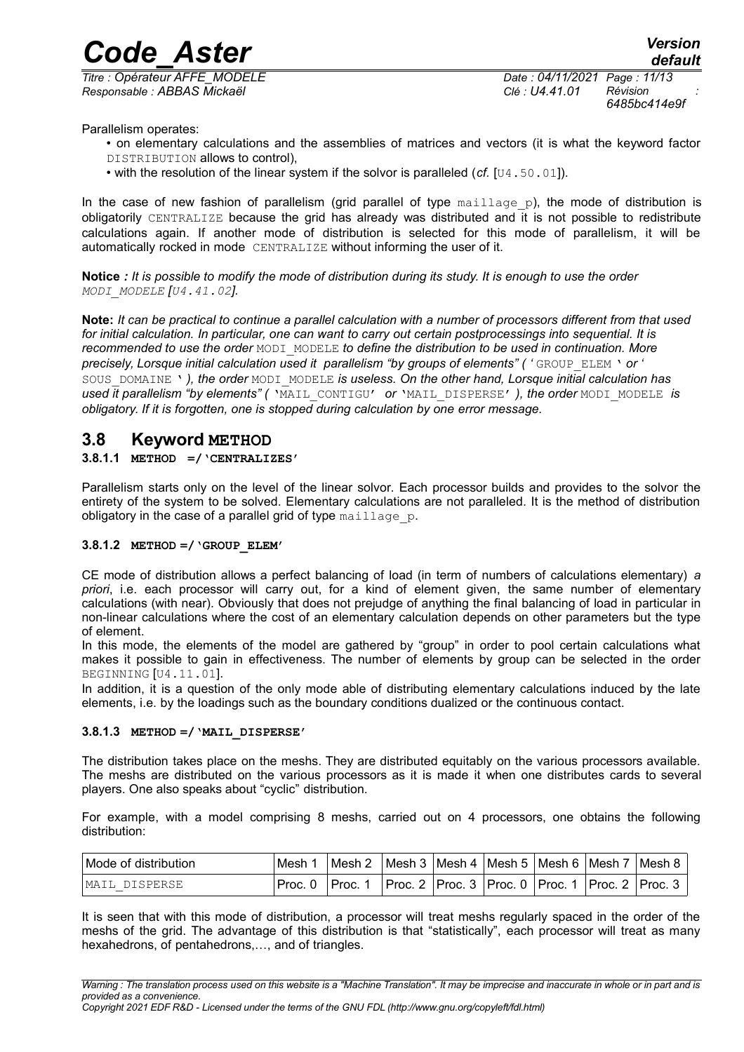*Titre : Opérateur AFFE\_MODELE Date : 04/11/2021 Page : 11/13 Responsable : ABBAS Mickaël Clé : U4.41.01 Révision :*

*6485bc414e9f*

Parallelism operates:

- on elementary calculations and the assemblies of matrices and vectors (it is what the keyword factor DISTRIBUTION allows to control),
- with the resolution of the linear system if the solvor is paralleled (*cf.* [U4.50.01]).

In the case of new fashion of parallelism (grid parallel of type  $mainage$  p), the mode of distribution is obligatorily CENTRALIZE because the grid has already was distributed and it is not possible to redistribute calculations again. If another mode of distribution is selected for this mode of parallelism, it will be automatically rocked in mode CENTRALIZE without informing the user of it.

**Notice** *: It is possible to modify the mode of distribution during its study. It is enough to use the order MODI\_MODELE [U4.41.02].*

**Note:** *It can be practical to continue a parallel calculation with a number of processors different from that used for initial calculation. In particular, one can want to carry out certain postprocessings into sequential. It is recommended to use the order* MODI\_MODELE *to define the distribution to be used in continuation. More precisely, Lorsque initial calculation used it parallelism "by groups of elements" ( '* GROUP\_ELEM ' *or '* SOUS\_DOMAINE ' *), the order* MODI\_MODELE *is useless. On the other hand, Lorsque initial calculation has used it parallelism "by elements" (* 'MAIL\_CONTIGU' *or* 'MAIL\_DISPERSE' *), the order* MODI\_MODELE *is obligatory. If it is forgotten, one is stopped during calculation by one error message.*

#### **3.8 Keyword METHOD**

#### **3.8.1.1 METHOD =/'CENTRALIZES'**

Parallelism starts only on the level of the linear solvor. Each processor builds and provides to the solvor the entirety of the system to be solved. Elementary calculations are not paralleled. It is the method of distribution obligatory in the case of a parallel grid of type  $mainage$ .

#### **3.8.1.2 METHOD =/'GROUP\_ELEM'**

CE mode of distribution allows a perfect balancing of load (in term of numbers of calculations elementary) *a priori*, i.e. each processor will carry out, for a kind of element given, the same number of elementary calculations (with near). Obviously that does not prejudge of anything the final balancing of load in particular in non-linear calculations where the cost of an elementary calculation depends on other parameters but the type of element.

In this mode, the elements of the model are gathered by "group" in order to pool certain calculations what makes it possible to gain in effectiveness. The number of elements by group can be selected in the order BEGINNING [U4.11.01].

In addition, it is a question of the only mode able of distributing elementary calculations induced by the late elements, i.e. by the loadings such as the boundary conditions dualized or the continuous contact.

#### **3.8.1.3 METHOD =/'MAIL\_DISPERSE'**

The distribution takes place on the meshs. They are distributed equitably on the various processors available. The meshs are distributed on the various processors as it is made it when one distributes cards to several players. One also speaks about "cyclic" distribution.

For example, with a model comprising 8 meshs, carried out on 4 processors, one obtains the following distribution:

| Mode of distribution | Mesh 1               | Mesh 2 |  |  | Mesh 3   Mesh 4   Mesh 5   Mesh 6   Mesh 7   Mesh 8       |
|----------------------|----------------------|--------|--|--|-----------------------------------------------------------|
| IMAIL DISPERSE       | ⊥Proc. 0 – I Proc. 1 |        |  |  | Proc. 2   Proc. 3   Proc. 0   Proc. 1   Proc. 2   Proc. 3 |

It is seen that with this mode of distribution, a processor will treat meshs regularly spaced in the order of the meshs of the grid. The advantage of this distribution is that "statistically", each processor will treat as many hexahedrons, of pentahedrons,…, and of triangles.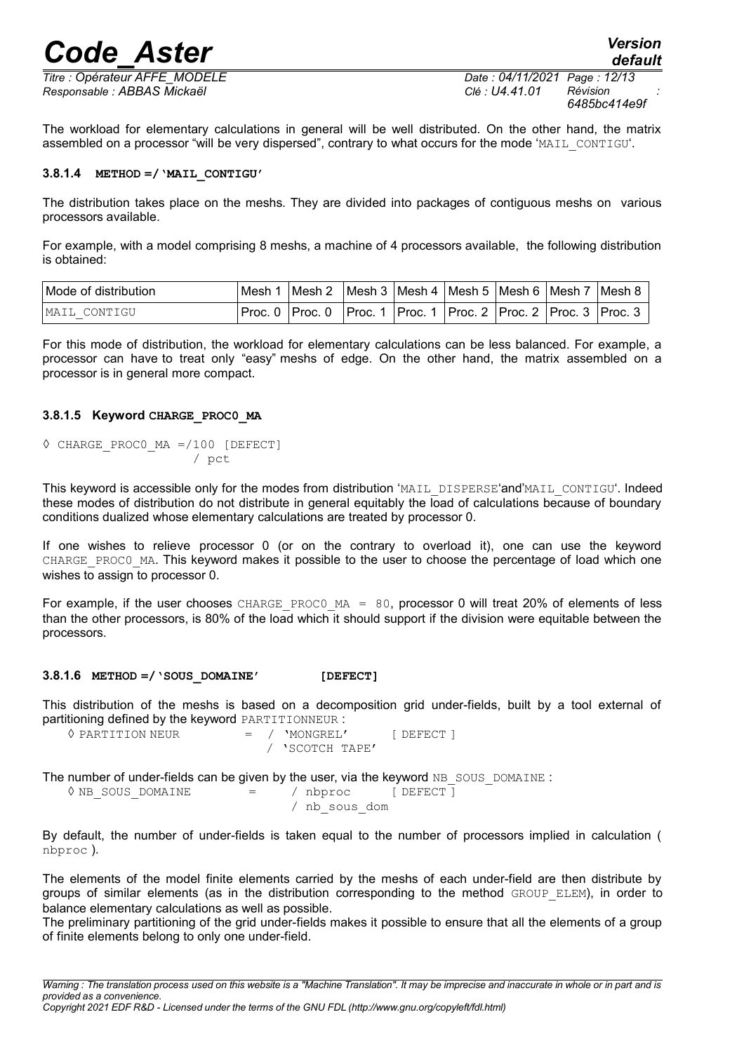*Titre : Opérateur AFFE\_MODELE Date : 04/11/2021 Page : 12/13 Responsable : ABBAS Mickaël Clé : U4.41.01 Révision :*

*6485bc414e9f*

The workload for elementary calculations in general will be well distributed. On the other hand, the matrix assembled on a processor "will be very dispersed", contrary to what occurs for the mode 'MAIL\_CONTIGU'.

#### **3.8.1.4 METHOD =/'MAIL\_CONTIGU'**

The distribution takes place on the meshs. They are divided into packages of contiguous meshs on various processors available.

For example, with a model comprising 8 meshs, a machine of 4 processors available, the following distribution is obtained:

| Mode of distribution | Mesh 1 | Mesh 2   Mesh 3   Mesh 4   Mesh 5   Mesh 6   Mesh 7   Mesh 8                  |  |  |  |
|----------------------|--------|-------------------------------------------------------------------------------|--|--|--|
| IMAIL CONTIGU        |        | Proc. 0   Proc. 0   Proc. 1   Proc. 1   Proc. 2   Proc. 2   Proc. 3   Proc. 3 |  |  |  |

For this mode of distribution, the workload for elementary calculations can be less balanced. For example, a processor can have to treat only "easy" meshs of edge. On the other hand, the matrix assembled on a processor is in general more compact.

#### **3.8.1.5 Keyword CHARGE\_PROC0\_MA**

◊ CHARGE\_PROC0\_MA =/100 [DEFECT] / pct

This keyword is accessible only for the modes from distribution 'MAIL DISPERSE'and'MAIL CONTIGU'. Indeed these modes of distribution do not distribute in general equitably the load of calculations because of boundary conditions dualized whose elementary calculations are treated by processor 0.

If one wishes to relieve processor 0 (or on the contrary to overload it), one can use the keyword CHARGE\_PROC0\_MA. This keyword makes it possible to the user to choose the percentage of load which one wishes to assign to processor 0.

For example, if the user chooses CHARGE\_PROC0\_MA =  $80$ , processor 0 will treat 20% of elements of less than the other processors, is 80% of the load which it should support if the division were equitable between the processors.

#### **3.8.1.6 METHOD =/'SOUS\_DOMAINE' [DEFECT]**

This distribution of the meshs is based on a decomposition grid under-fields, built by a tool external of partitioning defined by the keyword PARTITIONNEUR :

 $\Diamond$  PARTITION NEUR = / 'MONGREL' [ DEFECT ] / 'SCOTCH TAPE'

The number of under-fields can be given by the user, via the keyword  $NB$  SOUS DOMAINE :

| ♦ NB SOUS DOMAINE | $=$ / nbproc  | [ DEFECT |  |
|-------------------|---------------|----------|--|
|                   | / nb sous dom |          |  |

By default, the number of under-fields is taken equal to the number of processors implied in calculation ( nbproc ).

The elements of the model finite elements carried by the meshs of each under-field are then distribute by groups of similar elements (as in the distribution corresponding to the method GROUP\_ELEM), in order to balance elementary calculations as well as possible.

The preliminary partitioning of the grid under-fields makes it possible to ensure that all the elements of a group of finite elements belong to only one under-field.